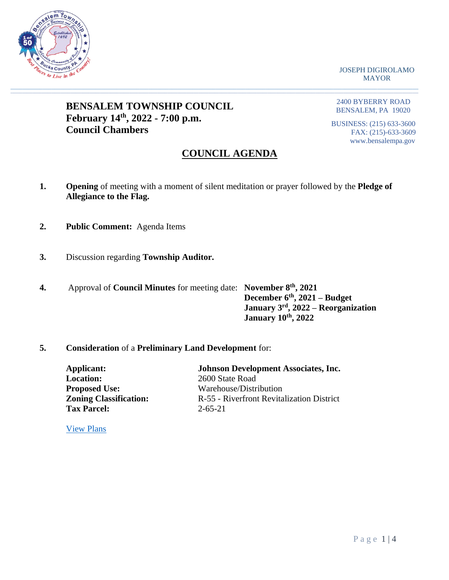

JOSEPH DIGIROLAMO MAYOR

# **BENSALEM TOWNSHIP COUNCIL February 14th, 2022 - 7:00 p.m. Council Chambers**

2400 BYBERRY ROAD BENSALEM, PA 19020

BUSINESS: (215) 633-3600 FAX: (215)-633-3609 www.bensalempa.gov

# **COUNCIL AGENDA**

**1. Opening** of meeting with a moment of silent meditation or prayer followed by the **Pledge of Allegiance to the Flag.**

 $\_$  , and the set of the set of the set of the set of the set of the set of the set of the set of the set of the set of the set of the set of the set of the set of the set of the set of the set of the set of the set of th

- **2. Public Comment:** Agenda Items
- **3.** Discussion regarding **Township Auditor.**
- **4.** Approval of **Council Minutes** for meeting date: **November 8th, 2021 December 6th, 2021 – Budget January 3rd, 2022 – Reorganization January 10th, 2022**

## **5. Consideration** of a **Preliminary Land Development** for:

| Applicant:                    | <b>Johnson Development Associates, Inc.</b> |
|-------------------------------|---------------------------------------------|
| <b>Location:</b>              | 2600 State Road                             |
| <b>Proposed Use:</b>          | Warehouse/Distribution                      |
| <b>Zoning Classification:</b> | R-55 - Riverfront Revitalization District   |
| <b>Tax Parcel:</b>            | $2 - 65 - 21$                               |
|                               |                                             |

[View Plans](https://www.bensalempa.gov/uploads/2/4/9/3/24936441/state_rd_2600_-_prel_ld_-_revised_plan_2.pdf)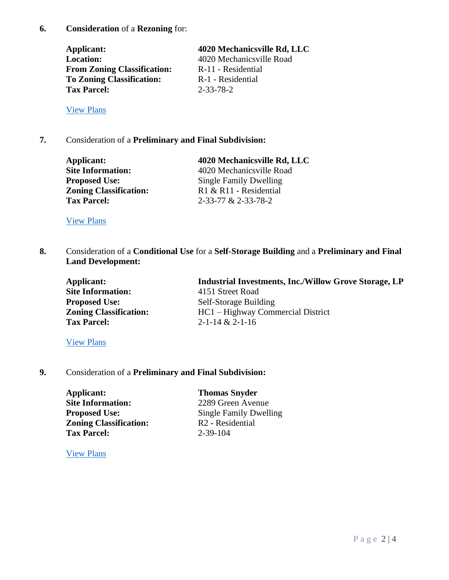**Applicant: 4020 Mechanicsville Rd, LLC Location:** 4020 Mechanicsville Road **From Zoning Classification:** R-11 - Residential **To Zoning Classification:** R-1 - Residential **Tax Parcel:** 2-33-78-2

[View Plans](https://www.bensalempa.gov/uploads/2/4/9/3/24936441/mechanicsville_rd_4020_-_rezoning.pdf)

## **7.** Consideration of a **Preliminary and Final Subdivision:**

| Applicant:                    | 4020 Mechanicsville Rd, LLC   |
|-------------------------------|-------------------------------|
| <b>Site Information:</b>      | 4020 Mechanicsville Road      |
| <b>Proposed Use:</b>          | <b>Single Family Dwelling</b> |
| <b>Zoning Classification:</b> | R1 & R11 - Residential        |
| <b>Tax Parcel:</b>            | 2-33-77 & 2-33-78-2           |
|                               |                               |

[View Plans](https://www.bensalempa.gov/uploads/2/4/9/3/24936441/mechanicsville_rd_4020_-_revised_prel-final_ld.pdf)

**8.** Consideration of a **Conditional Use** for a **Self-Storage Building** and a **Preliminary and Final Land Development:**

| Applicant:                    | <b>Industrial Investments, Inc./Willow Grove Storage, LP</b> |
|-------------------------------|--------------------------------------------------------------|
| <b>Site Information:</b>      | 4151 Street Road                                             |
| <b>Proposed Use:</b>          | Self-Storage Building                                        |
| <b>Zoning Classification:</b> | HC1 – Highway Commercial District                            |
| <b>Tax Parcel:</b>            | $2 - 1 - 14 & 2 - 1 - 16$                                    |

### [View Plans](https://www.bensalempa.gov/uploads/2/4/9/3/24936441/street_rd_4151_-_revised_ld_plan__industrial_investements_.pdf)

### **9.** Consideration of a **Preliminary and Final Subdivision:**

**Applicant: Thomas Snyder Site Information:** 2289 Green Avenue **Proposed Use:** Single Family Dwelling **Zoning Classification:** R2 **-** Residential **Tax Parcel:** 2-39-104

[View Plans](https://www.bensalempa.gov/uploads/2/4/9/3/24936441/green_ave_2289_-_revised_prel-final_sd.pdf)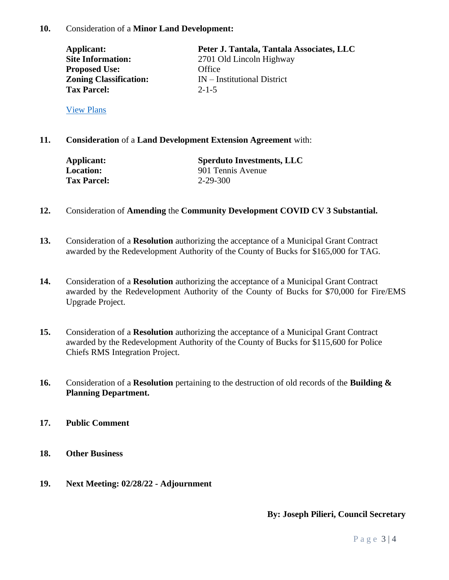| Applicant:                    | Peter J. Tantala, Tantala Associates, LLC |
|-------------------------------|-------------------------------------------|
| <b>Site Information:</b>      | 2701 Old Lincoln Highway                  |
| <b>Proposed Use:</b>          | Office                                    |
| <b>Zoning Classification:</b> | $IN$ – Institutional District             |
| <b>Tax Parcel:</b>            | $2 - 1 - 5$                               |
|                               |                                           |

[View Plans](https://www.bensalempa.gov/uploads/2/4/9/3/24936441/old_lincoln_hwy_2701_-_minor_ld__new_submission_.pdf)

**11. Consideration** of a **Land Development Extension Agreement** with:

| Applicant:         | <b>Sperduto Investments, LLC</b> |
|--------------------|----------------------------------|
| <b>Location:</b>   | 901 Tennis Avenue                |
| <b>Tax Parcel:</b> | $2 - 29 - 300$                   |

- **12.** Consideration of **Amending** the **Community Development COVID CV 3 Substantial.**
- **13.** Consideration of a **Resolution** authorizing the acceptance of a Municipal Grant Contract awarded by the Redevelopment Authority of the County of Bucks for \$165,000 for TAG.
- **14.** Consideration of a **Resolution** authorizing the acceptance of a Municipal Grant Contract awarded by the Redevelopment Authority of the County of Bucks for \$70,000 for Fire/EMS Upgrade Project.
- **15.** Consideration of a **Resolution** authorizing the acceptance of a Municipal Grant Contract awarded by the Redevelopment Authority of the County of Bucks for \$115,600 for Police Chiefs RMS Integration Project.
- **16.** Consideration of a **Resolution** pertaining to the destruction of old records of the **Building & Planning Department.**
- **17. Public Comment**
- **18. Other Business**
- **19. Next Meeting: 02/28/22 - Adjournment**

**By: Joseph Pilieri, Council Secretary**